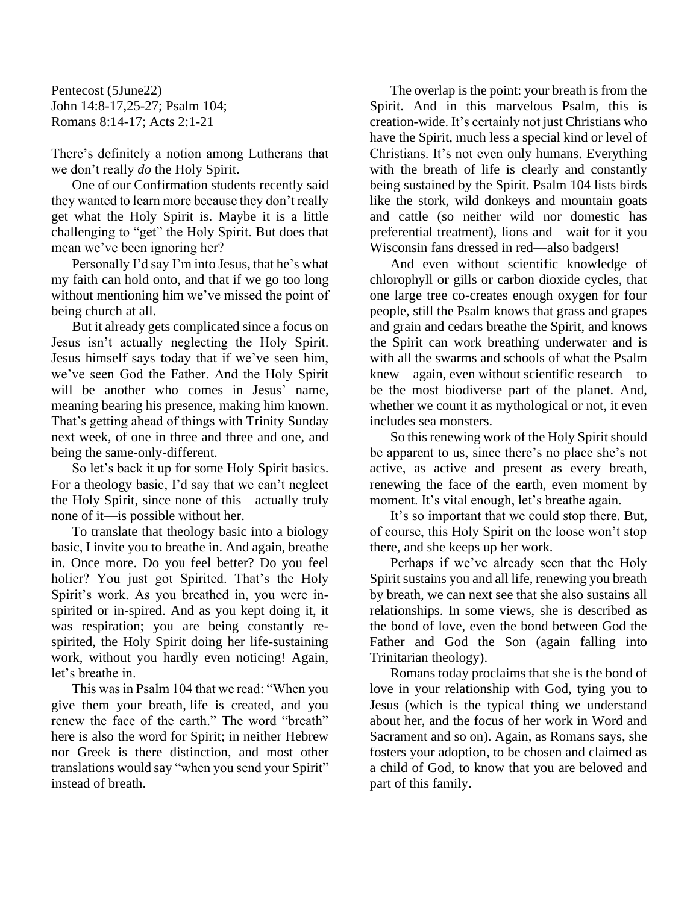Pentecost (5June22) John 14:8-17,25-27; Psalm 104; Romans 8:14-17; Acts 2:1-21

There's definitely a notion among Lutherans that we don't really *do* the Holy Spirit.

One of our Confirmation students recently said they wanted to learn more because they don't really get what the Holy Spirit is. Maybe it is a little challenging to "get" the Holy Spirit. But does that mean we've been ignoring her?

Personally I'd say I'm into Jesus, that he's what my faith can hold onto, and that if we go too long without mentioning him we've missed the point of being church at all.

But it already gets complicated since a focus on Jesus isn't actually neglecting the Holy Spirit. Jesus himself says today that if we've seen him, we've seen God the Father. And the Holy Spirit will be another who comes in Jesus' name, meaning bearing his presence, making him known. That's getting ahead of things with Trinity Sunday next week, of one in three and three and one, and being the same-only-different.

So let's back it up for some Holy Spirit basics. For a theology basic, I'd say that we can't neglect the Holy Spirit, since none of this—actually truly none of it—is possible without her.

To translate that theology basic into a biology basic, I invite you to breathe in. And again, breathe in. Once more. Do you feel better? Do you feel holier? You just got Spirited. That's the Holy Spirit's work. As you breathed in, you were inspirited or in-spired. And as you kept doing it, it was respiration; you are being constantly respirited, the Holy Spirit doing her life-sustaining work, without you hardly even noticing! Again, let's breathe in.

This was in Psalm 104 that we read: "When you give them your breath, life is created, and you renew the face of the earth." The word "breath" here is also the word for Spirit; in neither Hebrew nor Greek is there distinction, and most other translations would say "when you send your Spirit" instead of breath.

The overlap is the point: your breath is from the Spirit. And in this marvelous Psalm, this is creation-wide. It's certainly not just Christians who have the Spirit, much less a special kind or level of Christians. It's not even only humans. Everything with the breath of life is clearly and constantly being sustained by the Spirit. Psalm 104 lists birds like the stork, wild donkeys and mountain goats and cattle (so neither wild nor domestic has preferential treatment), lions and—wait for it you Wisconsin fans dressed in red—also badgers!

And even without scientific knowledge of chlorophyll or gills or carbon dioxide cycles, that one large tree co-creates enough oxygen for four people, still the Psalm knows that grass and grapes and grain and cedars breathe the Spirit, and knows the Spirit can work breathing underwater and is with all the swarms and schools of what the Psalm knew—again, even without scientific research—to be the most biodiverse part of the planet. And, whether we count it as mythological or not, it even includes sea monsters.

So this renewing work of the Holy Spirit should be apparent to us, since there's no place she's not active, as active and present as every breath, renewing the face of the earth, even moment by moment. It's vital enough, let's breathe again.

It's so important that we could stop there. But, of course, this Holy Spirit on the loose won't stop there, and she keeps up her work.

Perhaps if we've already seen that the Holy Spirit sustains you and all life, renewing you breath by breath, we can next see that she also sustains all relationships. In some views, she is described as the bond of love, even the bond between God the Father and God the Son (again falling into Trinitarian theology).

Romans today proclaims that she is the bond of love in your relationship with God, tying you to Jesus (which is the typical thing we understand about her, and the focus of her work in Word and Sacrament and so on). Again, as Romans says, she fosters your adoption, to be chosen and claimed as a child of God, to know that you are beloved and part of this family.